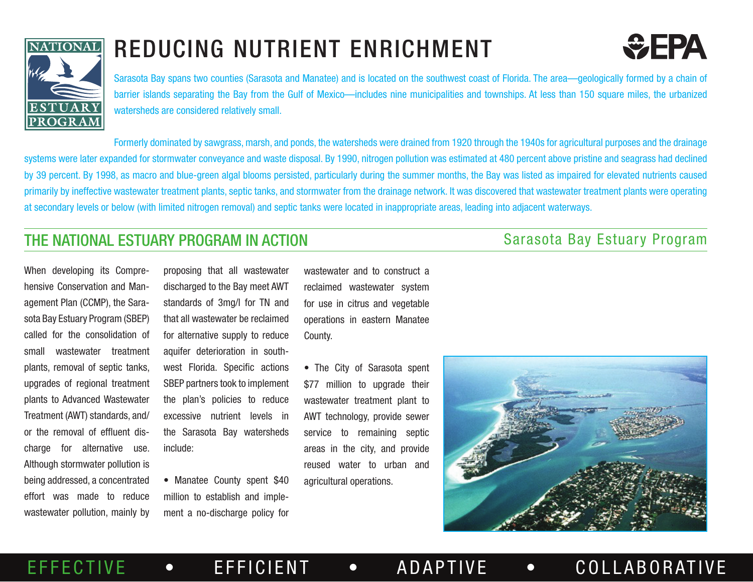

## REDUCING NUTRIENT ENRICHMENT



Sarasota Bay spans two counties (Sarasota and Manatee) and is located on the southwest coast of Florida. The area—geologically formed by a chain of barrier islands separating the Bay from the Gulf of Mexico—includes nine municipalities and townships. At less than 150 square miles, the urbanized watersheds are considered relatively small.

Formerly dominated by sawgrass, marsh, and ponds, the watersheds were drained from 1920 through the 1940s for agricultural purposes and the drainage systems were later expanded for stormwater conveyance and waste disposal. By 1990, nitrogen pollution was estimated at 480 percent above pristine and seagrass had declined by 39 percent. By 1998, as macro and blue-green algal blooms persisted, particularly during the summer months, the Bay was listed as impaired for elevated nutrients caused primarily by ineffective wastewater treatment plants, septic tanks, and stormwater from the drainage network. It was discovered that wastewater treatment plants were operating at secondary levels or below (with limited nitrogen removal) and septic tanks were located in inappropriate areas, leading into adjacent waterways.

## **THE NATIONAL ESTUARY PROGRAM IN ACTION** SALE SALES SALES SALES SALES SALES SALES SALES SALES TO A THE NATIONAL SALES SALES SALES SALES SALES SALES SALES SALES SALES SALES SALES SALES SALES SALES SALES SALES SALES SALES SA

When developing its Comprehensive Conservation and Management Plan (CCMP), the Sarasota Bay Estuary Program (SBEP) called for the consolidation of small wastewater treatment plants, removal of septic tanks, upgrades of regional treatment plants to Advanced Wastewater Treatment (AWT) standards, and/ or the removal of effluent discharge for alternative use. Although stormwater pollution is being addressed, a concentrated effort was made to reduce wastewater pollution, mainly by

proposing that all wastewater discharged to the Bay meet AWT standards of 3mg/l for TN and that all wastewater be reclaimed for alternative supply to reduce aquifer deterioration in southwest Florida. Specific actions SBEP partners took to implement the plan's policies to reduce excessive nutrient levels in the Sarasota Bay watersheds include:

• Manatee County spent \$40 million to establish and implement a no-discharge policy for

wastewater and to construct a reclaimed wastewater system for use in citrus and vegetable operations in eastern Manatee County.

• The City of Sarasota spent \$77 million to upgrade their wastewater treatment plant to AWT technology, provide sewer service to remaining septic areas in the city, and provide reused water to urban and agricultural operations.

EFFECTIVE • EFFICIENT • ADAPTIVE • COLLABORATIVE